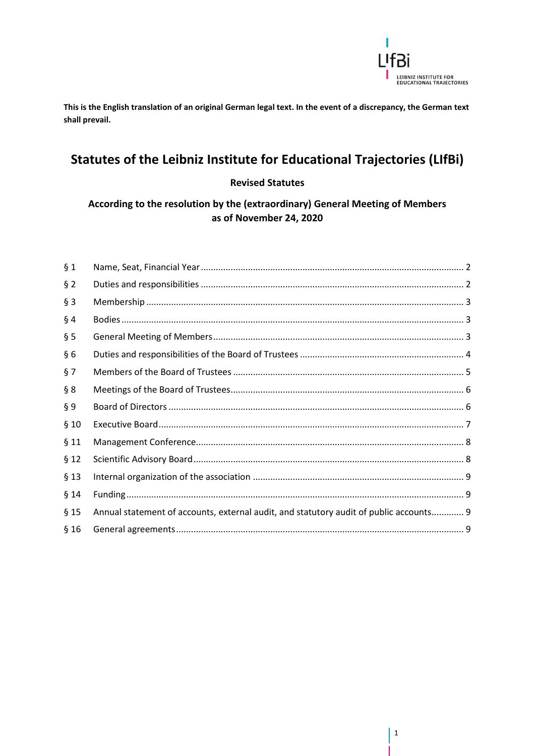

This is the English translation of an original German legal text. In the event of a discrepancy, the German text shall prevail.

# Statutes of the Leibniz Institute for Educational Trajectories (LIfBi)

#### **Revised Statutes**

According to the resolution by the (extraordinary) General Meeting of Members as of November 24, 2020

| § 1    |                                                                                        |  |
|--------|----------------------------------------------------------------------------------------|--|
| $§$ 2  |                                                                                        |  |
| $§$ 3  |                                                                                        |  |
| $§$ 4  |                                                                                        |  |
| § 5    |                                                                                        |  |
| §6     |                                                                                        |  |
| §7     |                                                                                        |  |
| § 8    |                                                                                        |  |
| § 9    |                                                                                        |  |
| §10    |                                                                                        |  |
| §11    |                                                                                        |  |
| § 12   |                                                                                        |  |
| $§$ 13 |                                                                                        |  |
| §14    |                                                                                        |  |
| $§$ 15 | Annual statement of accounts, external audit, and statutory audit of public accounts 9 |  |
| §16    |                                                                                        |  |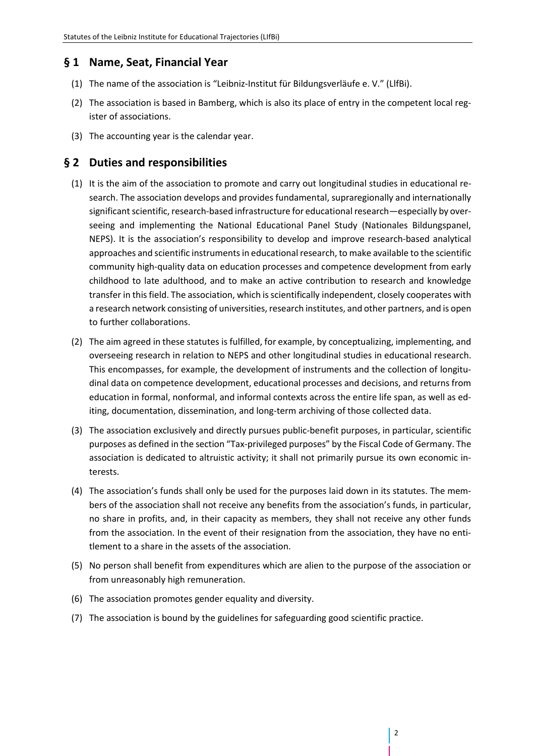#### <span id="page-1-0"></span>**§ 1 Name, Seat, Financial Year**

- (1) The name of the association is "Leibniz-Institut für Bildungsverläufe e. V." (LlfBi).
- (2) The association is based in Bamberg, which is also its place of entry in the competent local register of associations.
- (3) The accounting year is the calendar year.

#### <span id="page-1-1"></span>**§ 2 Duties and responsibilities**

- (1) It is the aim of the association to promote and carry out longitudinal studies in educational research. The association develops and provides fundamental, supraregionally and internationally significant scientific, research-based infrastructure for educational research—especially by overseeing and implementing the National Educational Panel Study (Nationales Bildungspanel, NEPS). It is the association's responsibility to develop and improve research-based analytical approaches and scientific instruments in educational research, to make available to the scientific community high-quality data on education processes and competence development from early childhood to late adulthood, and to make an active contribution to research and knowledge transfer in this field. The association, which is scientifically independent, closely cooperates with a research network consisting of universities, research institutes, and other partners, and is open to further collaborations.
- (2) The aim agreed in these statutes is fulfilled, for example, by conceptualizing, implementing, and overseeing research in relation to NEPS and other longitudinal studies in educational research. This encompasses, for example, the development of instruments and the collection of longitudinal data on competence development, educational processes and decisions, and returns from education in formal, nonformal, and informal contexts across the entire life span, as well as editing, documentation, dissemination, and long-term archiving of those collected data.
- (3) The association exclusively and directly pursues public-benefit purposes, in particular, scientific purposes as defined in the section "Tax-privileged purposes" by the Fiscal Code of Germany. The association is dedicated to altruistic activity; it shall not primarily pursue its own economic interests.
- (4) The association's funds shall only be used for the purposes laid down in its statutes. The members of the association shall not receive any benefits from the association's funds, in particular, no share in profits, and, in their capacity as members, they shall not receive any other funds from the association. In the event of their resignation from the association, they have no entitlement to a share in the assets of the association.
- (5) No person shall benefit from expenditures which are alien to the purpose of the association or from unreasonably high remuneration.
- (6) The association promotes gender equality and diversity.
- (7) The association is bound by the guidelines for safeguarding good scientific practice.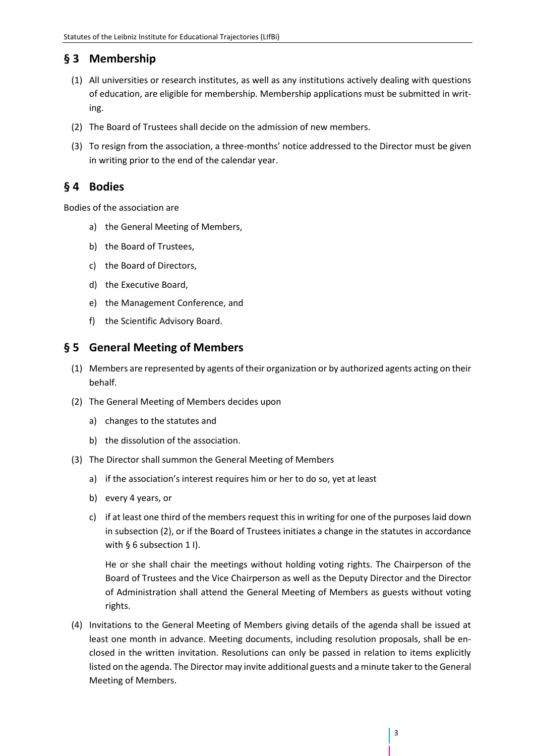# <span id="page-2-0"></span>**§ 3 Membership**

- (1) All universities or research institutes, as well as any institutions actively dealing with questions of education, are eligible for membership. Membership applications must be submitted in writing.
- (2) The Board of Trustees shall decide on the admission of new members.
- (3) To resign from the association, a three-months' notice addressed to the Director must be given in writing prior to the end of the calendar year.

## <span id="page-2-1"></span>**§ 4 Bodies**

Bodies of the association are

- a) the General Meeting of Members,
- b) the Board of Trustees,
- c) the Board of Directors,
- d) the Executive Board,
- e) the Management Conference, and
- f) the Scientific Advisory Board.

#### <span id="page-2-2"></span>**§ 5 General Meeting of Members**

- (1) Members are represented by agents of their organization or by authorized agents acting on their behalf.
- (2) The General Meeting of Members decides upon
	- a) changes to the statutes and
	- b) the dissolution of the association.
- (3) The Director shall summon the General Meeting of Members
	- a) if the association's interest requires him or her to do so, yet at least
	- b) every 4 years, or
	- c) if at least one third of the members request this in writing for one of the purposes laid down in subsection (2), or if the Board of Trustees initiates a change in the statutes in accordance with § 6 subsection 1 I).

He or she shall chair the meetings without holding voting rights. The Chairperson of the Board of Trustees and the Vice Chairperson as well as the Deputy Director and the Director of Administration shall attend the General Meeting of Members as guests without voting rights.

(4) Invitations to the General Meeting of Members giving details of the agenda shall be issued at least one month in advance. Meeting documents, including resolution proposals, shall be enclosed in the written invitation. Resolutions can only be passed in relation to items explicitly listed on the agenda. The Director may invite additional guests and a minute taker to the General Meeting of Members.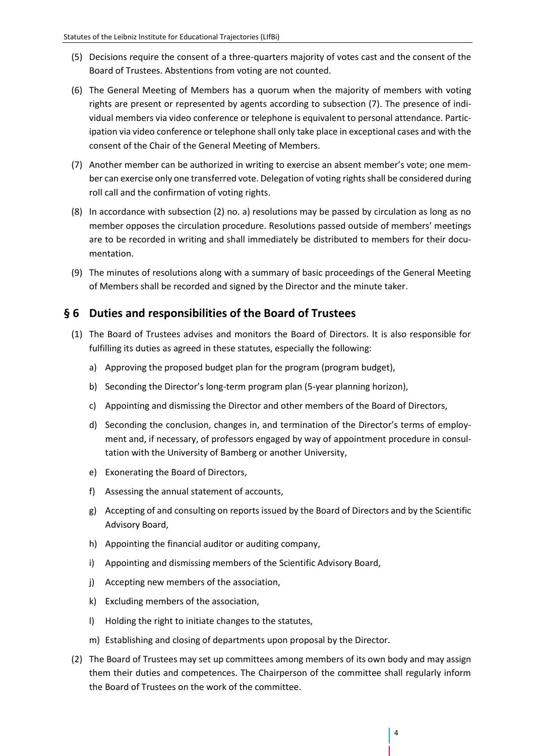- (5) Decisions require the consent of a three-quarters majority of votes cast and the consent of the Board of Trustees. Abstentions from voting are not counted.
- (6) The General Meeting of Members has a quorum when the majority of members with voting rights are present or represented by agents according to subsection (7). The presence of individual members via video conference or telephone is equivalent to personal attendance. Participation via video conference or telephone shall only take place in exceptional cases and with the consent of the Chair of the General Meeting of Members.
- (7) Another member can be authorized in writing to exercise an absent member's vote; one member can exercise only one transferred vote. Delegation of voting rights shall be considered during roll call and the confirmation of voting rights.
- (8) In accordance with subsection (2) no. a) resolutions may be passed by circulation as long as no member opposes the circulation procedure. Resolutions passed outside of members' meetings are to be recorded in writing and shall immediately be distributed to members for their documentation.
- (9) The minutes of resolutions along with a summary of basic proceedings of the General Meeting of Members shall be recorded and signed by the Director and the minute taker.

#### <span id="page-3-0"></span>**§ 6 Duties and responsibilities of the Board of Trustees**

- (1) The Board of Trustees advises and monitors the Board of Directors. It is also responsible for fulfilling its duties as agreed in these statutes, especially the following:
	- a) Approving the proposed budget plan for the program (program budget),
	- b) Seconding the Director's long-term program plan (5-year planning horizon),
	- c) Appointing and dismissing the Director and other members of the Board of Directors,
	- d) Seconding the conclusion, changes in, and termination of the Director's terms of employment and, if necessary, of professors engaged by way of appointment procedure in consultation with the University of Bamberg or another University,
	- e) Exonerating the Board of Directors,
	- f) Assessing the annual statement of accounts,
	- g) Accepting of and consulting on reports issued by the Board of Directors and by the Scientific Advisory Board,
	- h) Appointing the financial auditor or auditing company,
	- i) Appointing and dismissing members of the Scientific Advisory Board,
	- j) Accepting new members of the association,
	- k) Excluding members of the association,
	- l) Holding the right to initiate changes to the statutes,
	- m) Establishing and closing of departments upon proposal by the Director.
- (2) The Board of Trustees may set up committees among members of its own body and may assign them their duties and competences. The Chairperson of the committee shall regularly inform the Board of Trustees on the work of the committee.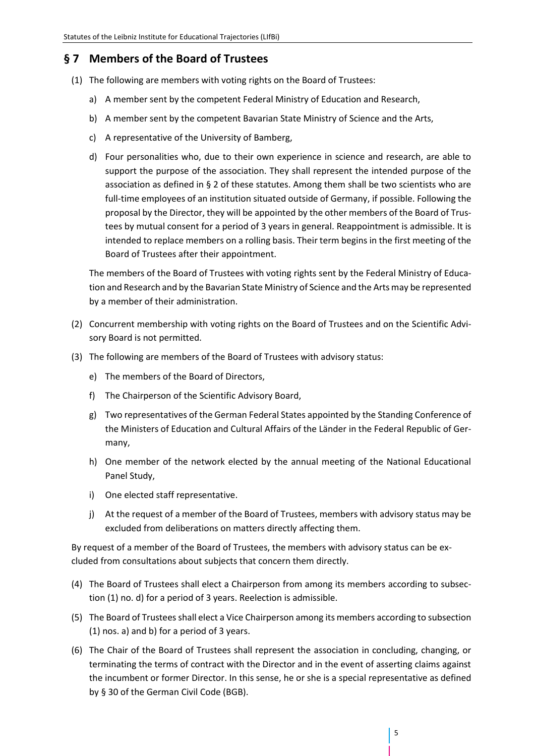## <span id="page-4-0"></span>**§ 7 Members of the Board of Trustees**

- (1) The following are members with voting rights on the Board of Trustees:
	- a) A member sent by the competent Federal Ministry of Education and Research,
	- b) A member sent by the competent Bavarian State Ministry of Science and the Arts,
	- c) A representative of the University of Bamberg,
	- d) Four personalities who, due to their own experience in science and research, are able to support the purpose of the association. They shall represent the intended purpose of the association as defined in § 2 of these statutes. Among them shall be two scientists who are full-time employees of an institution situated outside of Germany, if possible. Following the proposal by the Director, they will be appointed by the other members of the Board of Trustees by mutual consent for a period of 3 years in general. Reappointment is admissible. It is intended to replace members on a rolling basis. Their term begins in the first meeting of the Board of Trustees after their appointment.

The members of the Board of Trustees with voting rights sent by the Federal Ministry of Education and Research and by the Bavarian State Ministry of Science and the Arts may be represented by a member of their administration.

- (2) Concurrent membership with voting rights on the Board of Trustees and on the Scientific Advisory Board is not permitted.
- (3) The following are members of the Board of Trustees with advisory status:
	- e) The members of the Board of Directors,
	- f) The Chairperson of the Scientific Advisory Board,
	- g) Two representatives of the German Federal States appointed by the Standing Conference of the Ministers of Education and Cultural Affairs of the Länder in the Federal Republic of Germany,
	- h) One member of the network elected by the annual meeting of the National Educational Panel Study,
	- i) One elected staff representative.
	- j) At the request of a member of the Board of Trustees, members with advisory status may be excluded from deliberations on matters directly affecting them.

By request of a member of the Board of Trustees, the members with advisory status can be excluded from consultations about subjects that concern them directly.

- (4) The Board of Trustees shall elect a Chairperson from among its members according to subsection (1) no. d) for a period of 3 years. Reelection is admissible.
- (5) The Board of Trustees shall elect a Vice Chairperson among its members according to subsection (1) nos. a) and b) for a period of 3 years.
- (6) The Chair of the Board of Trustees shall represent the association in concluding, changing, or terminating the terms of contract with the Director and in the event of asserting claims against the incumbent or former Director. In this sense, he or she is a special representative as defined by § 30 of the German Civil Code (BGB).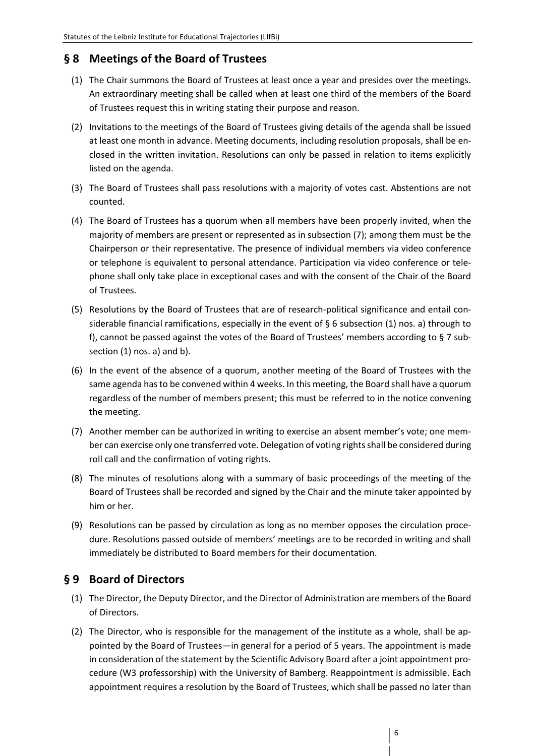### <span id="page-5-0"></span>**§ 8 Meetings of the Board of Trustees**

- (1) The Chair summons the Board of Trustees at least once a year and presides over the meetings. An extraordinary meeting shall be called when at least one third of the members of the Board of Trustees request this in writing stating their purpose and reason.
- (2) Invitations to the meetings of the Board of Trustees giving details of the agenda shall be issued at least one month in advance. Meeting documents, including resolution proposals, shall be enclosed in the written invitation. Resolutions can only be passed in relation to items explicitly listed on the agenda.
- (3) The Board of Trustees shall pass resolutions with a majority of votes cast. Abstentions are not counted.
- (4) The Board of Trustees has a quorum when all members have been properly invited, when the majority of members are present or represented as in subsection (7); among them must be the Chairperson or their representative. The presence of individual members via video conference or telephone is equivalent to personal attendance. Participation via video conference or telephone shall only take place in exceptional cases and with the consent of the Chair of the Board of Trustees.
- (5) Resolutions by the Board of Trustees that are of research-political significance and entail considerable financial ramifications, especially in the event of  $\S 6$  subsection (1) nos. a) through to f), cannot be passed against the votes of the Board of Trustees' members according to § 7 subsection (1) nos. a) and b).
- (6) In the event of the absence of a quorum, another meeting of the Board of Trustees with the same agenda has to be convened within 4 weeks. In this meeting, the Board shall have a quorum regardless of the number of members present; this must be referred to in the notice convening the meeting.
- (7) Another member can be authorized in writing to exercise an absent member's vote; one member can exercise only one transferred vote. Delegation of voting rights shall be considered during roll call and the confirmation of voting rights.
- (8) The minutes of resolutions along with a summary of basic proceedings of the meeting of the Board of Trustees shall be recorded and signed by the Chair and the minute taker appointed by him or her.
- (9) Resolutions can be passed by circulation as long as no member opposes the circulation procedure. Resolutions passed outside of members' meetings are to be recorded in writing and shall immediately be distributed to Board members for their documentation.

## <span id="page-5-1"></span>**§ 9 Board of Directors**

- (1) The Director, the Deputy Director, and the Director of Administration are members of the Board of Directors.
- (2) The Director, who is responsible for the management of the institute as a whole, shall be appointed by the Board of Trustees—in general for a period of 5 years. The appointment is made in consideration of the statement by the Scientific Advisory Board after a joint appointment procedure (W3 professorship) with the University of Bamberg. Reappointment is admissible. Each appointment requires a resolution by the Board of Trustees, which shall be passed no later than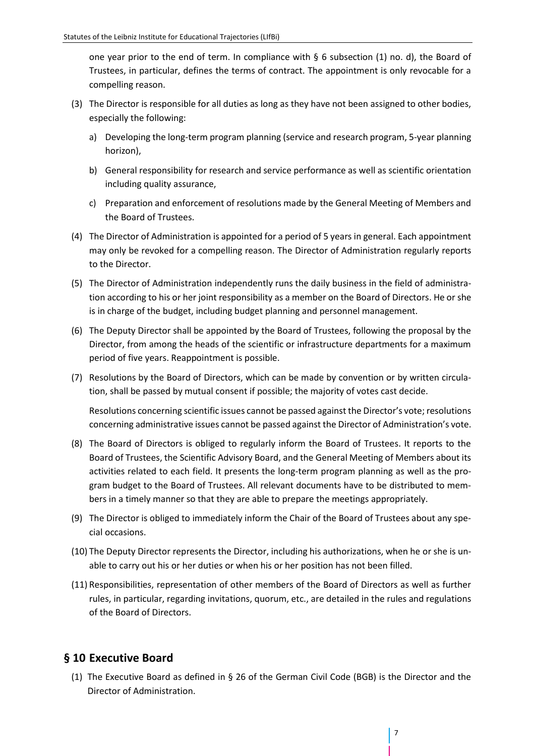one year prior to the end of term. In compliance with  $\S$  6 subsection (1) no. d), the Board of Trustees, in particular, defines the terms of contract. The appointment is only revocable for a compelling reason.

- (3) The Director is responsible for all duties as long as they have not been assigned to other bodies, especially the following:
	- a) Developing the long-term program planning (service and research program, 5-year planning horizon),
	- b) General responsibility for research and service performance as well as scientific orientation including quality assurance,
	- c) Preparation and enforcement of resolutions made by the General Meeting of Members and the Board of Trustees.
- (4) The Director of Administration is appointed for a period of 5 years in general. Each appointment may only be revoked for a compelling reason. The Director of Administration regularly reports to the Director.
- (5) The Director of Administration independently runs the daily business in the field of administration according to his or her joint responsibility as a member on the Board of Directors. He or she is in charge of the budget, including budget planning and personnel management.
- (6) The Deputy Director shall be appointed by the Board of Trustees, following the proposal by the Director, from among the heads of the scientific or infrastructure departments for a maximum period of five years. Reappointment is possible.
- (7) Resolutions by the Board of Directors, which can be made by convention or by written circulation, shall be passed by mutual consent if possible; the majority of votes cast decide.

Resolutions concerning scientific issues cannot be passed against the Director's vote; resolutions concerning administrative issues cannot be passed against the Director of Administration's vote.

- (8) The Board of Directors is obliged to regularly inform the Board of Trustees. It reports to the Board of Trustees, the Scientific Advisory Board, and the General Meeting of Members about its activities related to each field. It presents the long-term program planning as well as the program budget to the Board of Trustees. All relevant documents have to be distributed to members in a timely manner so that they are able to prepare the meetings appropriately.
- (9) The Director is obliged to immediately inform the Chair of the Board of Trustees about any special occasions.
- (10) The Deputy Director represents the Director, including his authorizations, when he or she is unable to carry out his or her duties or when his or her position has not been filled.
- (11) Responsibilities, representation of other members of the Board of Directors as well as further rules, in particular, regarding invitations, quorum, etc., are detailed in the rules and regulations of the Board of Directors.

#### <span id="page-6-0"></span>**§ 10 Executive Board**

(1) The Executive Board as defined in § 26 of the German Civil Code (BGB) is the Director and the Director of Administration.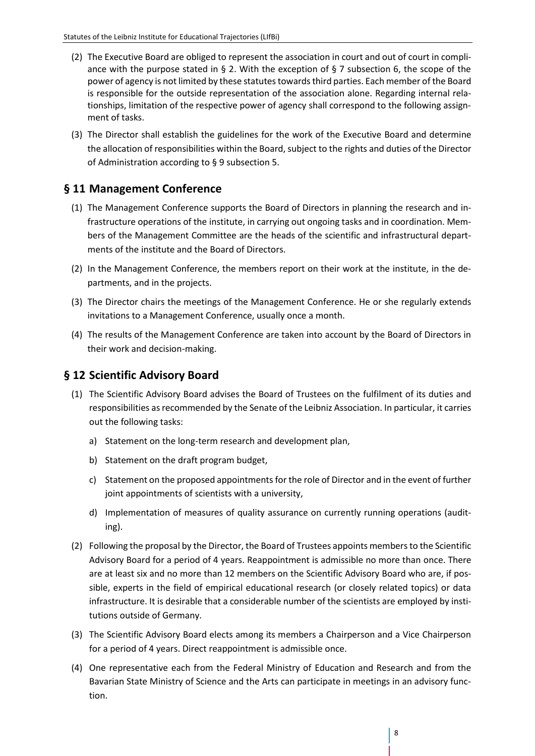- (2) The Executive Board are obliged to represent the association in court and out of court in compliance with the purpose stated in § 2. With the exception of § 7 subsection 6, the scope of the power of agency is not limited by these statutes towards third parties. Each member of the Board is responsible for the outside representation of the association alone. Regarding internal relationships, limitation of the respective power of agency shall correspond to the following assignment of tasks.
- (3) The Director shall establish the guidelines for the work of the Executive Board and determine the allocation of responsibilities within the Board, subject to the rights and duties of the Director of Administration according to § 9 subsection 5.

## <span id="page-7-0"></span>**§ 11 Management Conference**

- (1) The Management Conference supports the Board of Directors in planning the research and infrastructure operations of the institute, in carrying out ongoing tasks and in coordination. Members of the Management Committee are the heads of the scientific and infrastructural departments of the institute and the Board of Directors.
- (2) In the Management Conference, the members report on their work at the institute, in the departments, and in the projects.
- (3) The Director chairs the meetings of the Management Conference. He or she regularly extends invitations to a Management Conference, usually once a month.
- (4) The results of the Management Conference are taken into account by the Board of Directors in their work and decision-making.

## <span id="page-7-1"></span>**§ 12 Scientific Advisory Board**

- (1) The Scientific Advisory Board advises the Board of Trustees on the fulfilment of its duties and responsibilities as recommended by the Senate of the Leibniz Association. In particular, it carries out the following tasks:
	- a) Statement on the long-term research and development plan,
	- b) Statement on the draft program budget,
	- c) Statement on the proposed appointments for the role of Director and in the event of further joint appointments of scientists with a university,
	- d) Implementation of measures of quality assurance on currently running operations (auditing).
- (2) Following the proposal by the Director, the Board of Trustees appoints members to the Scientific Advisory Board for a period of 4 years. Reappointment is admissible no more than once. There are at least six and no more than 12 members on the Scientific Advisory Board who are, if possible, experts in the field of empirical educational research (or closely related topics) or data infrastructure. It is desirable that a considerable number of the scientists are employed by institutions outside of Germany.
- (3) The Scientific Advisory Board elects among its members a Chairperson and a Vice Chairperson for a period of 4 years. Direct reappointment is admissible once.
- (4) One representative each from the Federal Ministry of Education and Research and from the Bavarian State Ministry of Science and the Arts can participate in meetings in an advisory function.